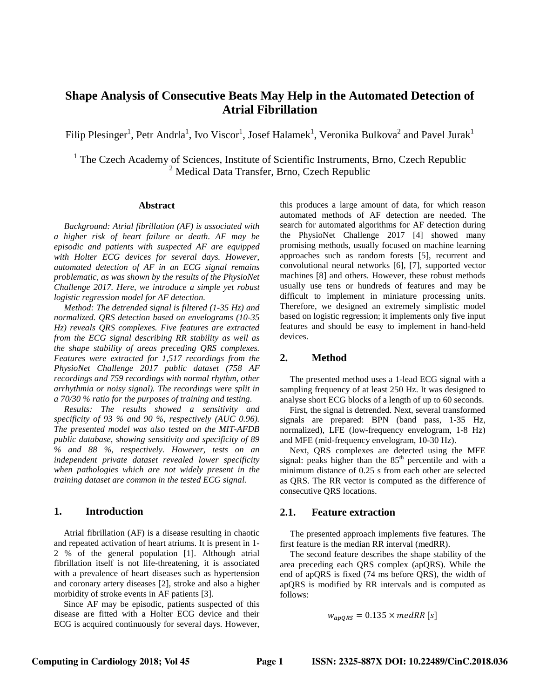# **Shape Analysis of Consecutive Beats May Help in the Automated Detection of Atrial Fibrillation**

Filip Plesinger<sup>1</sup>, Petr Andrla<sup>1</sup>, Ivo Viscor<sup>1</sup>, Josef Halamek<sup>1</sup>, Veronika Bulkova<sup>2</sup> and Pavel Jurak<sup>1</sup>

<sup>1</sup> The Czech Academy of Sciences, Institute of Scientific Instruments, Brno, Czech Republic  $<sup>2</sup>$  Medical Data Transfer, Brno, Czech Republic</sup>

#### **Abstract**

*Background: Atrial fibrillation (AF) is associated with a higher risk of heart failure or death. AF may be episodic and patients with suspected AF are equipped with Holter ECG devices for several days. However, automated detection of AF in an ECG signal remains problematic, as was shown by the results of the PhysioNet Challenge 2017. Here, we introduce a simple yet robust logistic regression model for AF detection.*

*Method: The detrended signal is filtered (1-35 Hz) and normalized. QRS detection based on envelograms (10-35 Hz) reveals QRS complexes. Five features are extracted from the ECG signal describing RR stability as well as the shape stability of areas preceding QRS complexes. Features were extracted for 1,517 recordings from the PhysioNet Challenge 2017 public dataset (758 AF recordings and 759 recordings with normal rhythm, other arrhythmia or noisy signal). The recordings were split in a 70/30 % ratio for the purposes of training and testing.*

*Results: The results showed a sensitivity and specificity of 93 % and 90 %, respectively (AUC 0.96). The presented model was also tested on the MIT-AFDB public database, showing sensitivity and specificity of 89 % and 88 %, respectively. However, tests on an independent private dataset revealed lower specificity when pathologies which are not widely present in the training dataset are common in the tested ECG signal.*

#### **1. Introduction**

Atrial fibrillation (AF) is a disease resulting in chaotic and repeated activation of heart atriums. It is present in 1- 2 % of the general population [1]. Although atrial fibrillation itself is not life-threatening, it is associated with a prevalence of heart diseases such as hypertension and coronary artery diseases [2], stroke and also a higher morbidity of stroke events in AF patients [3].

Since AF may be episodic, patients suspected of this disease are fitted with a Holter ECG device and their ECG is acquired continuously for several days. However, this produces a large amount of data, for which reason automated methods of AF detection are needed. The search for automated algorithms for AF detection during the PhysioNet Challenge 2017 [4] showed many promising methods, usually focused on machine learning approaches such as random forests [5], recurrent and convolutional neural networks [6], [7], supported vector machines [8] and others. However, these robust methods usually use tens or hundreds of features and may be difficult to implement in miniature processing units. Therefore, we designed an extremely simplistic model based on logistic regression; it implements only five input features and should be easy to implement in hand-held devices.

# **2. Method**

The presented method uses a 1-lead ECG signal with a sampling frequency of at least 250 Hz. It was designed to analyse short ECG blocks of a length of up to 60 seconds.

First, the signal is detrended. Next, several transformed signals are prepared: BPN (band pass, 1-35 Hz, normalized), LFE (low-frequency envelogram, 1-8 Hz) and MFE (mid-frequency envelogram, 10-30 Hz).

Next, QRS complexes are detected using the MFE signal: peaks higher than the 85<sup>th</sup> percentile and with a minimum distance of 0.25 s from each other are selected as QRS. The RR vector is computed as the difference of consecutive QRS locations.

#### **2.1. Feature extraction**

The presented approach implements five features. The first feature is the median RR interval (medRR).

The second feature describes the shape stability of the area preceding each QRS complex (apQRS). While the end of apQRS is fixed (74 ms before QRS), the width of apQRS is modified by RR intervals and is computed as follows:

$$
w_{apQRS}=0.135\times medRR\ [s]
$$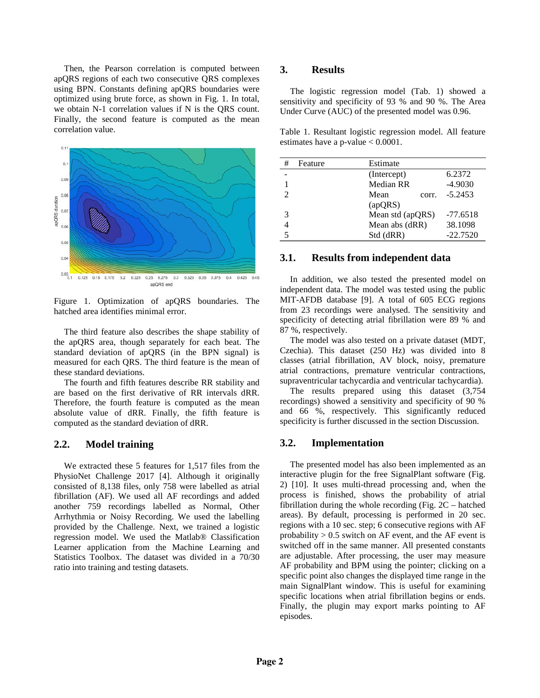Then, the Pearson correlation is computed between apQRS regions of each two consecutive QRS complexes using BPN. Constants defining apQRS boundaries were optimized using brute force, as shown in Fig. 1. In total, we obtain N-1 correlation values if N is the QRS count. Finally, the second feature is computed as the mean correlation value.



Figure 1. Optimization of apQRS boundaries. The hatched area identifies minimal error.

The third feature also describes the shape stability of the apQRS area, though separately for each beat. The standard deviation of apQRS (in the BPN signal) is measured for each QRS. The third feature is the mean of these standard deviations.

The fourth and fifth features describe RR stability and are based on the first derivative of RR intervals dRR. Therefore, the fourth feature is computed as the mean absolute value of dRR. Finally, the fifth feature is computed as the standard deviation of dRR.

#### **2.2. Model training**

We extracted these 5 features for 1,517 files from the PhysioNet Challenge 2017 [4]. Although it originally consisted of 8,138 files, only 758 were labelled as atrial fibrillation (AF). We used all AF recordings and added another 759 recordings labelled as Normal, Other Arrhythmia or Noisy Recording. We used the labelling provided by the Challenge. Next, we trained a logistic regression model. We used the Matlab® Classification Learner application from the Machine Learning and Statistics Toolbox. The dataset was divided in a 70/30 ratio into training and testing datasets.

### **3. Results**

The logistic regression model (Tab. 1) showed a sensitivity and specificity of 93 % and 90 %. The Area Under Curve (AUC) of the presented model was 0.96.

Table 1. Resultant logistic regression model. All feature estimates have a p-value < 0.0001.

| # | Feature | Estimate         |            |
|---|---------|------------------|------------|
|   |         | (Intercept)      | 6.2372     |
|   |         | Median RR        | $-4.9030$  |
| っ |         | Mean<br>corr.    | $-5.2453$  |
|   |         | (apQRS)          |            |
| 3 |         | Mean std (apQRS) | $-77.6518$ |
|   |         | Mean abs (dRR)   | 38.1098    |
|   |         | Std (dRR)        | $-22.7520$ |

#### **3.1. Results from independent data**

In addition, we also tested the presented model on independent data. The model was tested using the public MIT-AFDB database [9]. A total of 605 ECG regions from 23 recordings were analysed. The sensitivity and specificity of detecting atrial fibrillation were 89 % and 87 %, respectively.

The model was also tested on a private dataset (MDT, Czechia). This dataset (250 Hz) was divided into 8 classes (atrial fibrillation, AV block, noisy, premature atrial contractions, premature ventricular contractions, supraventricular tachycardia and ventricular tachycardia).

The results prepared using this dataset (3,754 recordings) showed a sensitivity and specificity of 90 % and 66 %, respectively. This significantly reduced specificity is further discussed in the section Discussion.

#### **3.2. Implementation**

The presented model has also been implemented as an interactive plugin for the free SignalPlant software (Fig. 2) [10]. It uses multi-thread processing and, when the process is finished, shows the probability of atrial fibrillation during the whole recording (Fig. 2C – hatched areas). By default, processing is performed in 20 sec. regions with a 10 sec. step; 6 consecutive regions with AF probability  $> 0.5$  switch on AF event, and the AF event is switched off in the same manner. All presented constants are adjustable. After processing, the user may measure AF probability and BPM using the pointer; clicking on a specific point also changes the displayed time range in the main SignalPlant window. This is useful for examining specific locations when atrial fibrillation begins or ends. Finally, the plugin may export marks pointing to AF episodes.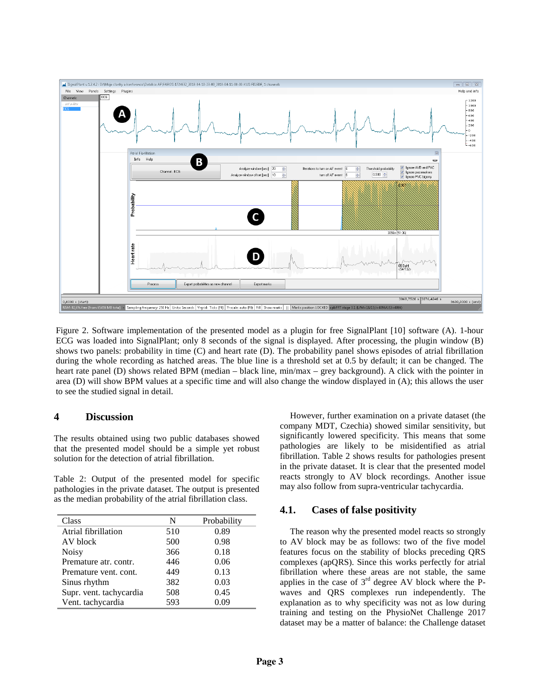

Figure 2. Software implementation of the presented model as a plugin for free SignalPlant [10] software (A). 1-hour ECG was loaded into SignalPlant; only 8 seconds of the signal is displayed. After processing, the plugin window (B) shows two panels: probability in time (C) and heart rate (D). The probability panel shows episodes of atrial fibrillation during the whole recording as hatched areas. The blue line is a threshold set at 0.5 by default; it can be changed. The heart rate panel (D) shows related BPM (median – black line, min/max – grey background). A click with the pointer in area (D) will show BPM values at a specific time and will also change the window displayed in (A); this allows the user to see the studied signal in detail.

# **4 Discussion**

The results obtained using two public databases showed that the presented model should be a simple yet robust solution for the detection of atrial fibrillation.

Table 2: Output of the presented model for specific pathologies in the private dataset. The output is presented as the median probability of the atrial fibrillation class.

| Class                   | N   | Probability |
|-------------------------|-----|-------------|
| Atrial fibrillation     | 510 | 0.89        |
| AV block                | 500 | 0.98        |
| <b>Noisy</b>            | 366 | 0.18        |
| Premature atr. contr.   | 446 | 0.06        |
| Premature vent. cont.   | 449 | 0.13        |
| Sinus rhythm            | 382 | 0.03        |
| Supr. vent. tachycardia | 508 | 0.45        |
| Vent. tachycardia       | 593 | 0.09        |

However, further examination on a private dataset (the company MDT, Czechia) showed similar sensitivity, but significantly lowered specificity. This means that some pathologies are likely to be misidentified as atrial fibrillation. Table 2 shows results for pathologies present in the private dataset. It is clear that the presented model reacts strongly to AV block recordings. Another issue may also follow from supra-ventricular tachycardia.

# **4.1. Cases of false positivity**

The reason why the presented model reacts so strongly to AV block may be as follows: two of the five model features focus on the stability of blocks preceding QRS complexes (apQRS). Since this works perfectly for atrial fibrillation where these areas are not stable, the same applies in the case of  $3<sup>rd</sup>$  degree AV block where the Pwaves and QRS complexes run independently. The explanation as to why specificity was not as low during training and testing on the PhysioNet Challenge 2017 dataset may be a matter of balance: the Challenge dataset